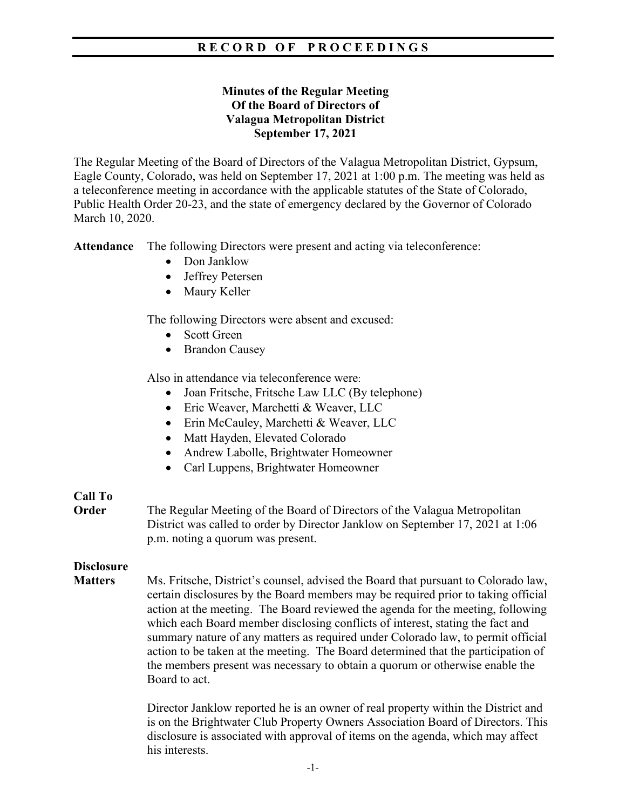## **Minutes of the Regular Meeting Of the Board of Directors of Valagua Metropolitan District September 17, 2021**

The Regular Meeting of the Board of Directors of the Valagua Metropolitan District, Gypsum, Eagle County, Colorado, was held on September 17, 2021 at 1:00 p.m. The meeting was held as a teleconference meeting in accordance with the applicable statutes of the State of Colorado, Public Health Order 20-23, and the state of emergency declared by the Governor of Colorado March 10, 2020.

**Attendance** The following Directors were present and acting via teleconference:

- Don Janklow
- Jeffrey Petersen
- Maury Keller

The following Directors were absent and excused:

- Scott Green
- Brandon Causey

Also in attendance via teleconference were:

- Joan Fritsche, Fritsche Law LLC (By telephone)
- Eric Weaver, Marchetti & Weaver, LLC
- Erin McCauley, Marchetti & Weaver, LLC
- Matt Hayden, Elevated Colorado
- Andrew Labolle, Brightwater Homeowner
- Carl Luppens, Brightwater Homeowner

# **Call To**

**Order** The Regular Meeting of the Board of Directors of the Valagua Metropolitan District was called to order by Director Janklow on September 17, 2021 at 1:06 p.m. noting a quorum was present.

# **Disclosure**

**Matters** Ms. Fritsche, District's counsel, advised the Board that pursuant to Colorado law, certain disclosures by the Board members may be required prior to taking official action at the meeting. The Board reviewed the agenda for the meeting, following which each Board member disclosing conflicts of interest, stating the fact and summary nature of any matters as required under Colorado law, to permit official action to be taken at the meeting. The Board determined that the participation of the members present was necessary to obtain a quorum or otherwise enable the Board to act.

> Director Janklow reported he is an owner of real property within the District and is on the Brightwater Club Property Owners Association Board of Directors. This disclosure is associated with approval of items on the agenda, which may affect his interests.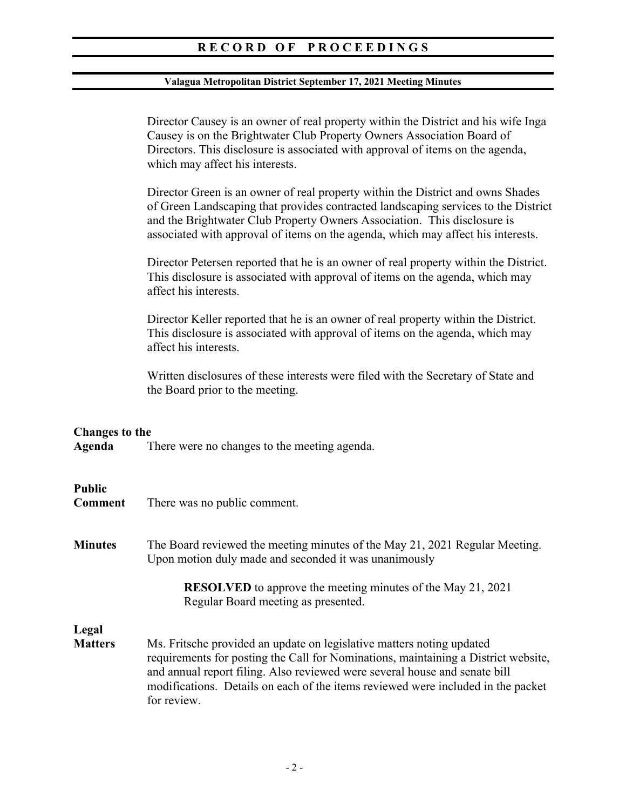#### **Valagua Metropolitan District September 17, 2021 Meeting Minutes**

Director Causey is an owner of real property within the District and his wife Inga Causey is on the Brightwater Club Property Owners Association Board of Directors. This disclosure is associated with approval of items on the agenda, which may affect his interests.

Director Green is an owner of real property within the District and owns Shades of Green Landscaping that provides contracted landscaping services to the District and the Brightwater Club Property Owners Association. This disclosure is associated with approval of items on the agenda, which may affect his interests.

Director Petersen reported that he is an owner of real property within the District. This disclosure is associated with approval of items on the agenda, which may affect his interests.

Director Keller reported that he is an owner of real property within the District. This disclosure is associated with approval of items on the agenda, which may affect his interests.

Written disclosures of these interests were filed with the Secretary of State and the Board prior to the meeting.

#### **Changes to the**

**Agenda** There were no changes to the meeting agenda.

#### **Public**

- **Comment** There was no public comment.
- **Minutes** The Board reviewed the meeting minutes of the May 21, 2021 Regular Meeting. Upon motion duly made and seconded it was unanimously

**RESOLVED** to approve the meeting minutes of the May 21, 2021 Regular Board meeting as presented.

## **Legal**

**Matters** Ms. Fritsche provided an update on legislative matters noting updated requirements for posting the Call for Nominations, maintaining a District website, and annual report filing. Also reviewed were several house and senate bill modifications. Details on each of the items reviewed were included in the packet for review.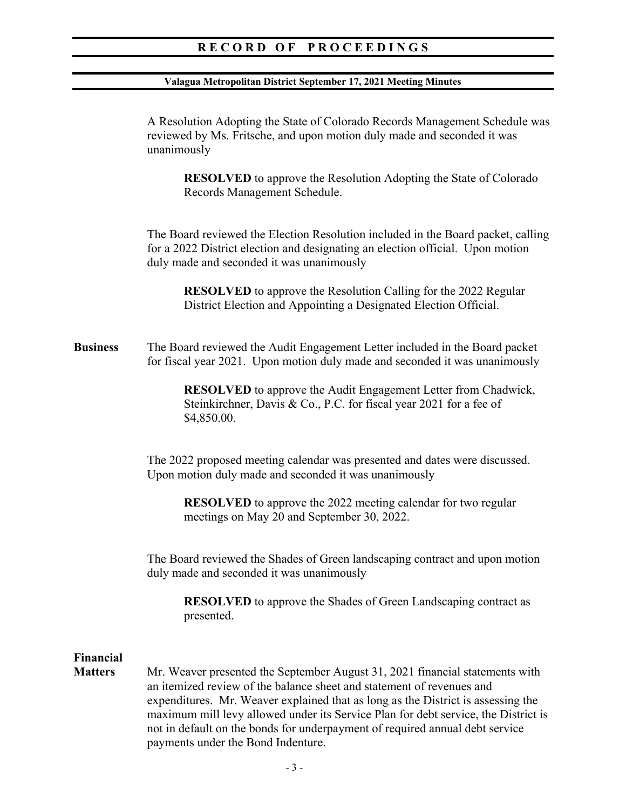#### **Valagua Metropolitan District September 17, 2021 Meeting Minutes**

A Resolution Adopting the State of Colorado Records Management Schedule was reviewed by Ms. Fritsche, and upon motion duly made and seconded it was unanimously

**RESOLVED** to approve the Resolution Adopting the State of Colorado Records Management Schedule.

The Board reviewed the Election Resolution included in the Board packet, calling for a 2022 District election and designating an election official. Upon motion duly made and seconded it was unanimously

**RESOLVED** to approve the Resolution Calling for the 2022 Regular District Election and Appointing a Designated Election Official.

**Business** The Board reviewed the Audit Engagement Letter included in the Board packet for fiscal year 2021. Upon motion duly made and seconded it was unanimously

> **RESOLVED** to approve the Audit Engagement Letter from Chadwick, Steinkirchner, Davis & Co., P.C. for fiscal year 2021 for a fee of \$4,850.00.

 The 2022 proposed meeting calendar was presented and dates were discussed. Upon motion duly made and seconded it was unanimously

**RESOLVED** to approve the 2022 meeting calendar for two regular meetings on May 20 and September 30, 2022.

 The Board reviewed the Shades of Green landscaping contract and upon motion duly made and seconded it was unanimously

**RESOLVED** to approve the Shades of Green Landscaping contract as presented.

# **Financial**

**Matters** Mr. Weaver presented the September August 31, 2021 financial statements with an itemized review of the balance sheet and statement of revenues and expenditures. Mr. Weaver explained that as long as the District is assessing the maximum mill levy allowed under its Service Plan for debt service, the District is not in default on the bonds for underpayment of required annual debt service payments under the Bond Indenture.